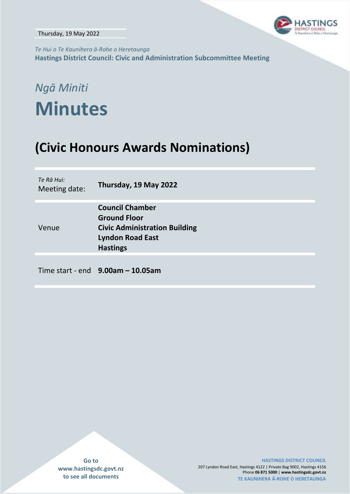

*Te Hui o Te Kaunihera ā-Rohe o Heretaunga* **Hastings District Council: Civic and Administration Subcommittee Meeting**

# *Ngā Miniti* **Minutes**

## **(Civic Honours Awards Nominations)**

| Te Rā Hui:<br>Meeting date: | Thursday, 19 May 2022                                                                                                               |
|-----------------------------|-------------------------------------------------------------------------------------------------------------------------------------|
| Venue                       | <b>Council Chamber</b><br><b>Ground Floor</b><br><b>Civic Administration Building</b><br><b>Lyndon Road East</b><br><b>Hastings</b> |
|                             | Time start - end $9.00$ am $-10.05$ am                                                                                              |

**Go to www.hastingsdc.govt.nz to see all documents**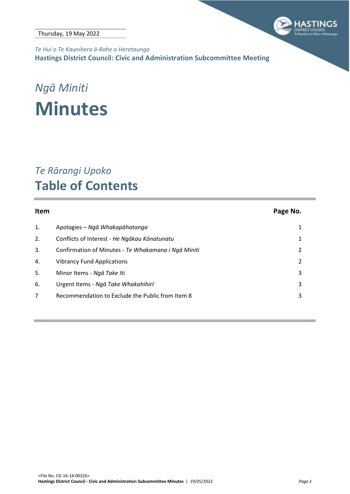

*Te Hui o Te Kaunihera ā-Rohe o Heretaunga* **Hastings District Council: Civic and Administration Subcommittee Meeting**

# *Ngā Miniti* **Minutes**

## *Te Rārangi Upoko* **Table of Contents**

| Item |                                                     | Page No. |
|------|-----------------------------------------------------|----------|
| 1.   | Apologies – Ngā Whakapāhatanga                      |          |
| 2.   | Conflicts of Interest - He Ngākau Kōnatunatu        |          |
| 3.   | Confirmation of Minutes - Te Whakamana i Ngā Miniti | 2        |
| 4.   | <b>Vibrancy Fund Applications</b>                   | 2        |
| 5.   | Minor Items - Ngā Take Iti                          | 3        |
| 6.   | Urgent Items - Ngā Take Whakahihirl                 | 3        |
| 7    | Recommendation to Exclude the Public from Item 8    | 3        |
|      |                                                     |          |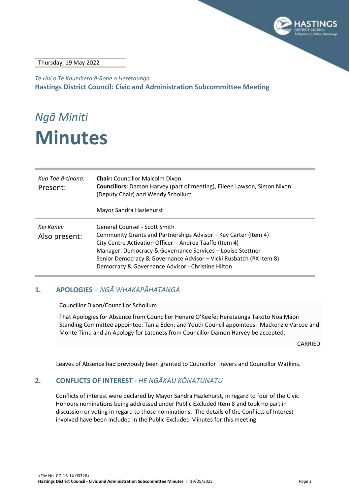

#### Thursday, 19 May 2022

*Te Hui o Te Kaunihera ā-Rohe o Heretaunga* **Hastings District Council: Civic and Administration Subcommittee Meeting**

# *Ngā Miniti* **Minutes**

| Kua Tae ā-tinana:<br>Present: | <b>Chair:</b> Councillor Malcolm Dixon<br><b>Councillors:</b> Damon Harvey (part of meeting), Eileen Lawson, Simon Nixon<br>(Deputy Chair) and Wendy Schollum<br>Mayor Sandra Hazlehurst                                                                                                                                                                    |
|-------------------------------|-------------------------------------------------------------------------------------------------------------------------------------------------------------------------------------------------------------------------------------------------------------------------------------------------------------------------------------------------------------|
| Kei Konei:<br>Also present:   | <b>General Counsel - Scott Smith</b><br>Community Grants and Partnerships Advisor - Kev Carter (Item 4)<br>City Centre Activation Officer - Andrea Taaffe (Item 4)<br>Manager: Democracy & Governance Services - Louise Stettner<br>Senior Democracy & Governance Advisor - Vicki Rusbatch (PX Item 8)<br>Democracy & Governance Advisor - Christine Hilton |

### <span id="page-2-0"></span>**1. APOLOGIES** *– NGĀ WHAKAPĀHATANGA*

Councillor Dixon/Councillor Schollum

That Apologies for Absence from Councillor Henare O'Keefe; Heretaunga Takoto Noa Māori Standing Committee appointee: Tania Eden; and Youth Council appointees: Mackenzie Varcoe and Monte Timu and an Apology for Lateness from Councillor Damon Harvey be accepted.

CARRIED

Leaves of Absence had previously been granted to Councillor Travers and Councillor Watkins.

#### <span id="page-2-1"></span>**2. CONFLICTS OF INTEREST -** *HE NGĀKAU KŌNATUNATU*

Conflicts of interest were declared by Mayor Sandra Hazlehurst, in regard to four of the Civic Honours nominations being addressed under Public Excluded Item 8 and took no part in discussion or voting in regard to those nominations. The details of the Conflicts of Interest involved have been included in the Public Excluded Minutes for this meeting.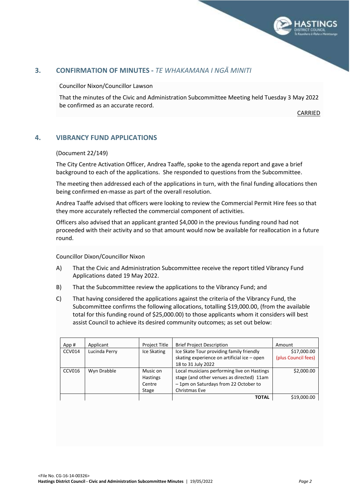

#### <span id="page-3-1"></span><span id="page-3-0"></span>**3. CONFIRMATION OF MINUTES -** *TE WHAKAMANA I NGĀ MINITI*

Councillor Nixon/Councillor Lawson

That the minutes of the Civic and Administration Subcommittee Meeting held Tuesday 3 May 2022 be confirmed as an accurate record.

CARRIED

#### **4. VIBRANCY FUND APPLICATIONS**

#### (Document 22/149)

The City Centre Activation Officer, Andrea Taaffe, spoke to the agenda report and gave a brief background to each of the applications. She responded to questions from the Subcommittee.

The meeting then addressed each of the applications in turn, with the final funding allocations then being confirmed en-masse as part of the overall resolution.

Andrea Taaffe advised that officers were looking to review the Commercial Permit Hire fees so that they more accurately reflected the commercial component of activities.

Officers also advised that an applicant granted \$4,000 in the previous funding round had not proceeded with their activity and so that amount would now be available for reallocation in a future round.

Councillor Dixon/Councillor Nixon

- A) That the Civic and Administration Subcommittee receive the report titled Vibrancy Fund Applications dated 19 May 2022.
- B) That the Subcommittee review the applications to the Vibrancy Fund; and
- C) That having considered the applications against the criteria of the Vibrancy Fund, the Subcommittee confirms the following allocations, totalling \$19,000.00, (from the available total for this funding round of \$25,000.00) to those applicants whom it considers will best assist Council to achieve its desired community outcomes; as set out below:

| App#          | Applicant     | Project Title   | <b>Brief Project Description</b>            | Amount              |
|---------------|---------------|-----------------|---------------------------------------------|---------------------|
| CCV014        | Lucinda Perry | Ice Skating     | Ice Skate Tour providing family friendly    | \$17,000.00         |
|               |               |                 | skating experience on artificial ice - open | (plus Council fees) |
|               |               |                 | 18 to 31 July 2022                          |                     |
| <b>CCV016</b> | Wyn Drabble   | Music on        | Local musicians performing live on Hastings | \$2,000.00          |
|               |               | <b>Hastings</b> | stage (and other venues as directed) 11am   |                     |
|               |               | Centre          | - 1pm on Saturdays from 22 October to       |                     |
|               |               | Stage           | Christmas Eve                               |                     |
|               |               |                 | <b>TOTAL</b>                                | \$19,000.00         |